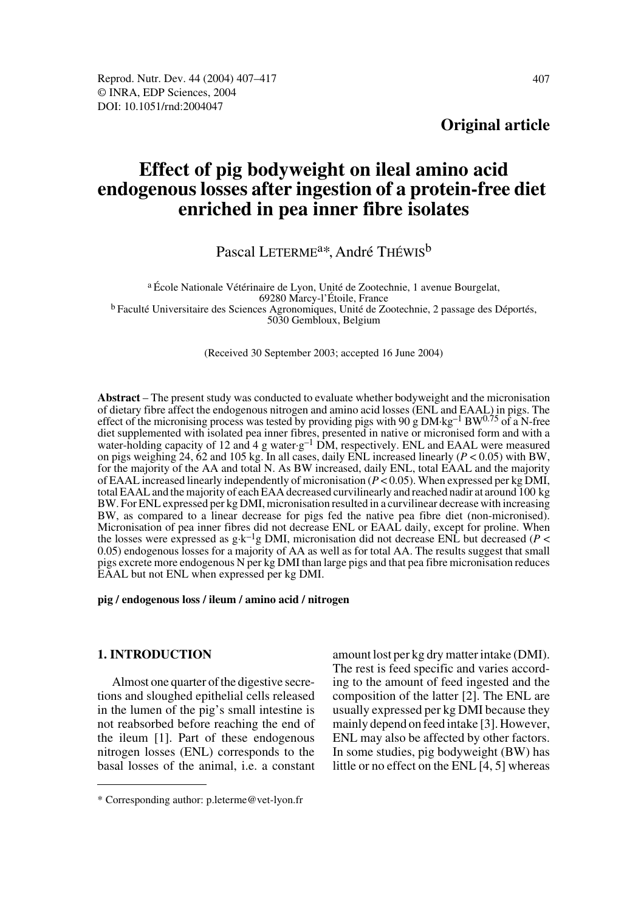**Original article**

# **Effect of pig bodyweight on ileal amino acid endogenous losses after ingestion of a protein-free diet enriched in pea inner fibre isolates**

# Pascal LETERME<sup>a\*</sup>, André THÉWIS<sup>b</sup>

a École Nationale Vétérinaire de Lyon, Unité de Zootechnie, 1 avenue Bourgelat, <sup>b</sup> Faculté Universitaire des Sciences Agronomiques, Unité de Zootechnie, 2 passage des Déportés, 5030 Gembloux, Belgium

(Received 30 September 2003; accepted 16 June 2004)

**Abstract** – The present study was conducted to evaluate whether bodyweight and the micronisation of dietary fibre affect the endogenous nitrogen and amino acid losses (ENL and EAAL) in pigs. The effect of the micronising process was tested by providing pigs with 90 g DM·kg<sup>-1</sup> BW<sup>0.75</sup> of a N-free diet supplemented with isolated pea inner fibres, presented in native or micronised form and with a water-holding capacity of 12 and 4 g water-g<sup>-1</sup> DM, respectively. ENL and EAAL were measured on pigs weighing 24, 62 and 105 kg. In all cases, daily ENL increased linearly (*P* < 0.05) with BW, for the majority of the AA and total N. As BW increased, daily ENL, total EAAL and the majority of EAAL increased linearly independently of micronisation (*P* < 0.05). When expressed per kg DMI, total EAAL and the majority of each EAA decreased curvilinearly and reached nadir at around 100 kg BW. For ENL expressed per kg DMI, micronisation resulted in a curvilinear decrease with increasing BW, as compared to a linear decrease for pigs fed the native pea fibre diet (non-micronised). Micronisation of pea inner fibres did not decrease ENL or EAAL daily, except for proline. When the losses were expressed as g·k–1g DMI, micronisation did not decrease ENL but decreased (*P* < 0.05) endogenous losses for a majority of AA as well as for total AA. The results suggest that small pigs excrete more endogenous N per kg DMI than large pigs and that pea fibre micronisation reduces EAAL but not ENL when expressed per kg DMI.

#### **pig / endogenous loss / ileum / amino acid / nitrogen**

# **1. INTRODUCTION**

Almost one quarter of the digestive secretions and sloughed epithelial cells released in the lumen of the pig's small intestine is not reabsorbed before reaching the end of the ileum [1]. Part of these endogenous nitrogen losses (ENL) corresponds to the basal losses of the animal, i.e. a constant amount lost per kg dry matter intake (DMI). The rest is feed specific and varies according to the amount of feed ingested and the composition of the latter [2]. The ENL are usually expressed per kg DMI because they mainly depend on feed intake [3]. However, ENL may also be affected by other factors. In some studies, pig bodyweight (BW) has little or no effect on the ENL [4, 5] whereas

<sup>\*</sup> Corresponding author: p.leterme@vet-lyon.fr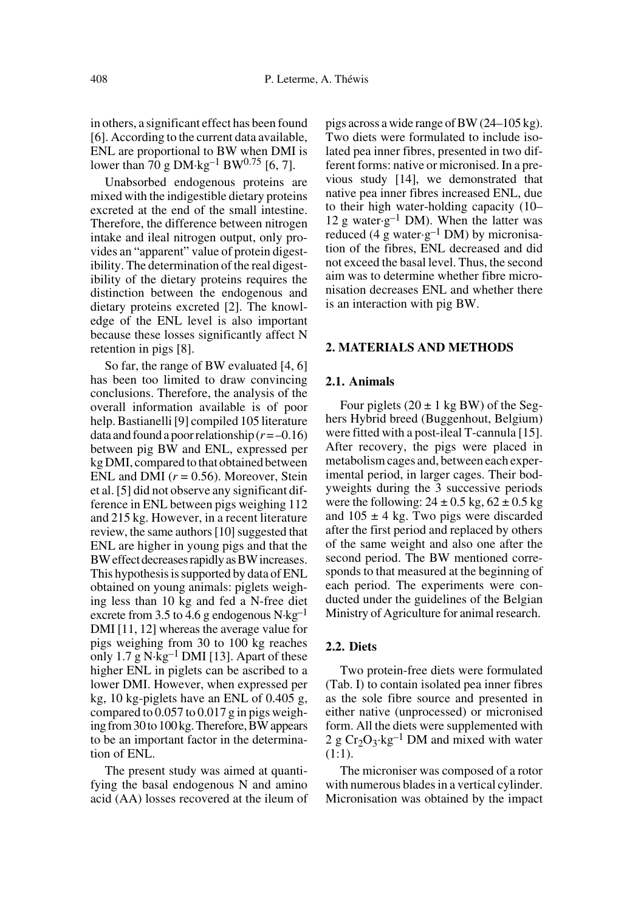in others, a significant effect has been found [6]. According to the current data available, ENL are proportional to BW when DMI is lower than 70 g DM·kg<sup>-1</sup> BW<sup>0.75</sup> [6, 7].

Unabsorbed endogenous proteins are mixed with the indigestible dietary proteins excreted at the end of the small intestine. Therefore, the difference between nitrogen intake and ileal nitrogen output, only provides an "apparent" value of protein digestibility. The determination of the real digestibility of the dietary proteins requires the distinction between the endogenous and dietary proteins excreted [2]. The knowledge of the ENL level is also important because these losses significantly affect N retention in pigs [8].

So far, the range of BW evaluated [4, 6] has been too limited to draw convincing conclusions. Therefore, the analysis of the overall information available is of poor help. Bastianelli [9] compiled 105 literature data and found a poor relationship  $(r = -0.16)$ between pig BW and ENL, expressed per kg DMI, compared to that obtained between ENL and DMI  $(r = 0.56)$ . Moreover, Stein et al. [5] did not observe any significant difference in ENL between pigs weighing 112 and 215 kg. However, in a recent literature review, the same authors [10] suggested that ENL are higher in young pigs and that the BW effect decreases rapidly as BW increases. This hypothesis is supported by data of ENL obtained on young animals: piglets weighing less than 10 kg and fed a N-free diet excrete from 3.5 to 4.6 g endogenous  $N \cdot kg^{-1}$ DMI [11, 12] whereas the average value for pigs weighing from 30 to 100 kg reaches only 1.7 g  $N \cdot kg^{-1}$  DMI [13]. Apart of these higher ENL in piglets can be ascribed to a lower DMI. However, when expressed per kg, 10 kg-piglets have an ENL of 0.405 g, compared to 0.057 to 0.017 g in pigs weighing from 30 to 100 kg. Therefore, BW appears to be an important factor in the determination of ENL.

The present study was aimed at quantifying the basal endogenous N and amino acid (AA) losses recovered at the ileum of pigs across a wide range of BW (24–105 kg). Two diets were formulated to include isolated pea inner fibres, presented in two different forms: native or micronised. In a previous study [14], we demonstrated that native pea inner fibres increased ENL, due to their high water-holding capacity (10– 12 g water $\cdot$ g<sup>-1</sup> DM). When the latter was reduced (4 g water $\cdot$ g<sup>-1</sup> DM) by micronisation of the fibres, ENL decreased and did not exceed the basal level. Thus, the second aim was to determine whether fibre micronisation decreases ENL and whether there is an interaction with pig BW.

#### **2. MATERIALS AND METHODS**

# **2.1. Animals**

Four piglets  $(20 \pm 1 \text{ kg BW})$  of the Seghers Hybrid breed (Buggenhout, Belgium) were fitted with a post-ileal T-cannula [15]. After recovery, the pigs were placed in metabolism cages and, between each experimental period, in larger cages. Their bodyweights during the 3 successive periods were the following:  $24 \pm 0.5$  kg,  $62 \pm 0.5$  kg and  $105 \pm 4$  kg. Two pigs were discarded after the first period and replaced by others of the same weight and also one after the second period. The BW mentioned corresponds to that measured at the beginning of each period. The experiments were conducted under the guidelines of the Belgian Ministry of Agriculture for animal research.

# **2.2. Diets**

Two protein-free diets were formulated (Tab. I) to contain isolated pea inner fibres as the sole fibre source and presented in either native (unprocessed) or micronised form. All the diets were supplemented with 2 g  $Cr_2O_3 \tcdot kg^{-1}$  DM and mixed with water (1:1).

The microniser was composed of a rotor with numerous blades in a vertical cylinder. Micronisation was obtained by the impact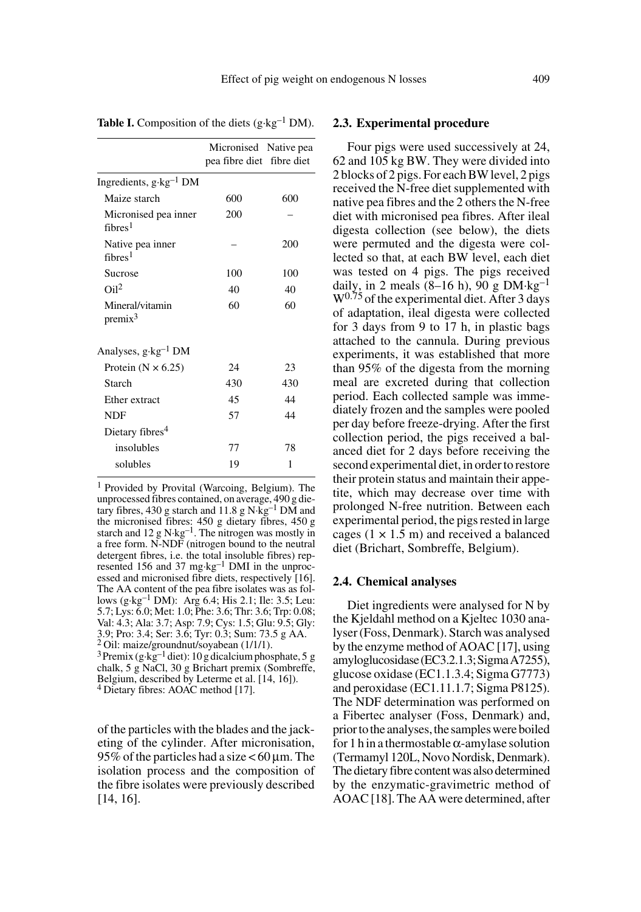|                                             | Micronised Native pea<br>pea fibre diet fibre diet |     |
|---------------------------------------------|----------------------------------------------------|-----|
| Ingredients, g·kg <sup>-1</sup> DM          |                                                    |     |
| Maize starch                                | 600                                                | 600 |
| Micronised pea inner<br>fihres <sup>1</sup> | 200                                                |     |
| Native pea inner<br>fibres <sup>1</sup>     |                                                    | 200 |
| Sucrose                                     | 100                                                | 100 |
| O <sub>i12</sub>                            | 40                                                 | 40  |
| Mineral/vitamin<br>$premix^3$               | 60                                                 | 60  |
| Analyses, $g \cdot kg^{-1}$ DM              |                                                    |     |
| Protein ( $N \times 6.25$ )                 | 24                                                 | 23  |
| Starch                                      | 430                                                | 430 |
| Ether extract                               | 45                                                 | 44  |
| NDF                                         | 57                                                 | 44  |
| Dietary fibres <sup>4</sup>                 |                                                    |     |
| insolubles                                  | 77                                                 | 78  |
| solubles                                    | 19                                                 | 1   |
|                                             |                                                    |     |

**Table I.** Composition of the diets  $(g \cdot kg^{-1} DM)$ .

1 Provided by Provital (Warcoing, Belgium). The unprocessed fibres contained, on average, 490 g die-<br>tary fibres, 430 g starch and 11.8 g N·kg<sup>-1</sup> DM and the micronised fibres: 450 g dietary fibres, 450 g starch and  $12 \text{ g N·kg}^{-1}$ . The nitrogen was mostly in a free form. N-NDF (nitrogen bound to the neutral detergent fibres, i.e. the total insoluble fibres) represented 156 and 37 mg·kg–1 DMI in the unprocessed and micronised fibre diets, respectively [16]. The AA content of the pea fibre isolates was as follows (g·kg–1 DM): Arg 6.4; His 2.1; Ile: 3.5; Leu: 5.7; Lys: 6.0; Met: 1.0; Phe: 3.6; Thr: 3.6; Trp: 0.08; Val: 4.3; Ala: 3.7; Asp: 7.9; Cys: 1.5; Glu: 9.5; Gly: 3.9; Pro: 3.4; Ser: 3.6; Tyr: 0.3; Sum: 73.5 g AA. 2 Oil: maize/groundnut/soyabean (1/1/1).  $3$  Premix (g·kg<sup>-1</sup> diet): 10 g dicalcium phosphate, 5 g chalk, 5 g NaCl, 30 g Brichart premix (Sombreffe,

Belgium, described by Leterme et al. [14, 16]). 4 Dietary fibres: AOAC method [17].

of the particles with the blades and the jacketing of the cylinder. After micronisation, 95% of the particles had a size  $<$  60 µm. The isolation process and the composition of the fibre isolates were previously described [14, 16].

#### **2.3. Experimental procedure**

Four pigs were used successively at 24, 62 and 105 kg BW. They were divided into 2 blocks of 2 pigs. For each BW level, 2 pigs received the N-free diet supplemented with native pea fibres and the 2 others the N-free diet with micronised pea fibres. After ileal digesta collection (see below), the diets were permuted and the digesta were collected so that, at each BW level, each diet was tested on 4 pigs. The pigs received daily, in 2 meals  $(8-16 \text{ h})$ , 90 g DM·kg<sup>-1</sup>  $W^{0.75}$  of the experimental diet. After 3 days of adaptation, ileal digesta were collected for 3 days from 9 to 17 h, in plastic bags attached to the cannula. During previous experiments, it was established that more than 95% of the digesta from the morning meal are excreted during that collection period. Each collected sample was immediately frozen and the samples were pooled per day before freeze-drying. After the first collection period, the pigs received a balanced diet for 2 days before receiving the second experimental diet, in order to restore their protein status and maintain their appetite, which may decrease over time with prolonged N-free nutrition. Between each experimental period, the pigs rested in large cages  $(1 \times 1.5 \text{ m})$  and received a balanced diet (Brichart, Sombreffe, Belgium).

#### **2.4. Chemical analyses**

Diet ingredients were analysed for N by the Kjeldahl method on a Kjeltec 1030 analyser (Foss, Denmark). Starch was analysed by the enzyme method of AOAC [17], using amyloglucosidase (EC3.2.1.3; Sigma A7255), glucose oxidase (EC1.1.3.4; Sigma G7773) and peroxidase (EC1.11.1.7; Sigma P8125). The NDF determination was performed on a Fibertec analyser (Foss, Denmark) and, prior to the analyses, the samples were boiled for 1 h in a thermostable  $\alpha$ -amylase solution (Termamyl 120L, Novo Nordisk, Denmark). The dietary fibre content was also determined by the enzymatic-gravimetric method of AOAC [18]. The AA were determined, after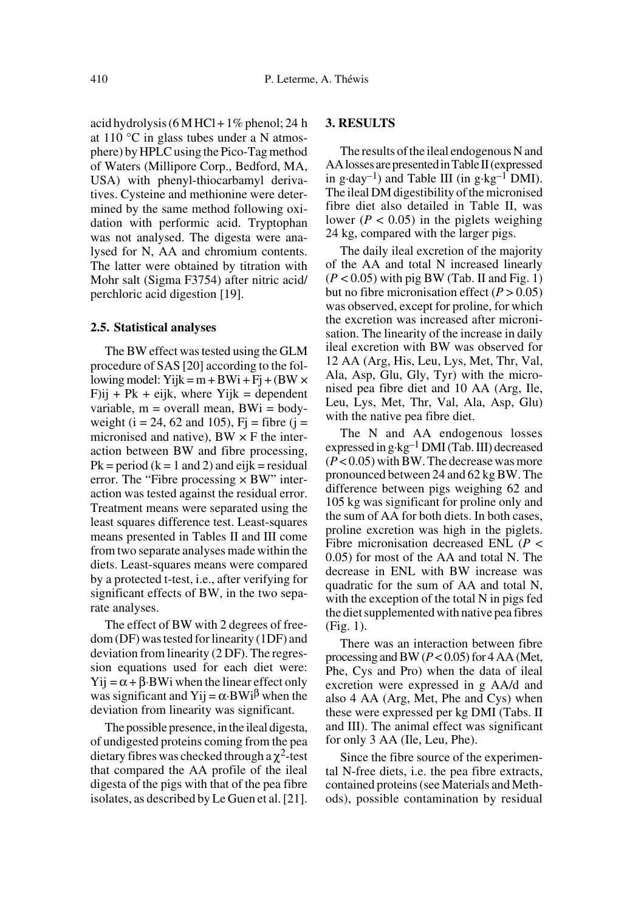acid hydrolysis (6 M HCl + 1% phenol; 24 h at 110 °C in glass tubes under a N atmosphere) by HPLC using the Pico-Tag method of Waters (Millipore Corp., Bedford, MA, USA) with phenyl-thiocarbamyl derivatives. Cysteine and methionine were determined by the same method following oxidation with performic acid. Tryptophan was not analysed. The digesta were analysed for N, AA and chromium contents. The latter were obtained by titration with Mohr salt (Sigma F3754) after nitric acid/ perchloric acid digestion [19].

#### **2.5. Statistical analyses**

The BW effect was tested using the GLM procedure of SAS [20] according to the following model: Yijk = m + BWi + Fj + (BW  $\times$  $F$ ij + Pk + eijk, where Yijk = dependent variable,  $m =$  overall mean,  $BWi =$  bodyweight ( $i = 24, 62$  and 105),  $Fi = fibre$  ( $j =$ micronised and native),  $BW \times F$  the interaction between BW and fibre processing,  $Pk = period (k = 1 and 2)$  and eijk = residual error. The "Fibre processing  $\times$  BW" interaction was tested against the residual error. Treatment means were separated using the least squares difference test. Least-squares means presented in Tables II and III come from two separate analyses made within the diets. Least-squares means were compared by a protected t-test, i.e., after verifying for significant effects of BW, in the two separate analyses.

The effect of BW with 2 degrees of freedom (DF) was tested for linearity (1DF) and deviation from linearity (2 DF). The regression equations used for each diet were:  $Y$ ij =  $\alpha$  +  $\beta$ ·BWi when the linear effect only was significant and Yij =  $\alpha$ ·BWi<sup> $\beta$ </sup> when the deviation from linearity was significant.

The possible presence, in the ileal digesta, of undigested proteins coming from the pea dietary fibres was checked through a  $\chi^2$ -test that compared the AA profile of the ileal digesta of the pigs with that of the pea fibre isolates, as described by Le Guen et al. [21].

# **3. RESULTS**

The results of the ileal endogenous N and AA losses are presented in Table II (expressed in g·day<sup>-1</sup>) and Table III (in g·kg<sup>-1</sup> DMI). The ileal DM digestibility of the micronised fibre diet also detailed in Table II, was lower ( $P < 0.05$ ) in the piglets weighing 24 kg, compared with the larger pigs.

The daily ileal excretion of the majority of the AA and total N increased linearly  $(P < 0.05)$  with pig BW (Tab. II and Fig. 1) but no fibre micronisation effect  $(P > 0.05)$ was observed, except for proline, for which the excretion was increased after micronisation. The linearity of the increase in daily ileal excretion with BW was observed for 12 AA (Arg, His, Leu, Lys, Met, Thr, Val, Ala, Asp, Glu, Gly, Tyr) with the micronised pea fibre diet and 10 AA (Arg, Ile, Leu, Lys, Met, Thr, Val, Ala, Asp, Glu) with the native pea fibre diet.

The N and AA endogenous losses expressed in g·kg–1 DMI (Tab. III) decreased (*P* < 0.05) with BW. The decrease was more pronounced between 24 and 62 kg BW. The difference between pigs weighing 62 and 105 kg was significant for proline only and the sum of AA for both diets. In both cases, proline excretion was high in the piglets. Fibre micronisation decreased ENL (*P* < 0.05) for most of the AA and total N. The decrease in ENL with BW increase was quadratic for the sum of AA and total N, with the exception of the total N in pigs fed the diet supplemented with native pea fibres (Fig. 1).

There was an interaction between fibre processing and BW (*P* < 0.05) for 4 AA (Met, Phe, Cys and Pro) when the data of ileal excretion were expressed in g AA/d and also 4 AA (Arg, Met, Phe and Cys) when these were expressed per kg DMI (Tabs. II and III). The animal effect was significant for only 3 AA (Ile, Leu, Phe).

Since the fibre source of the experimental N-free diets, i.e. the pea fibre extracts, contained proteins (see Materials and Methods), possible contamination by residual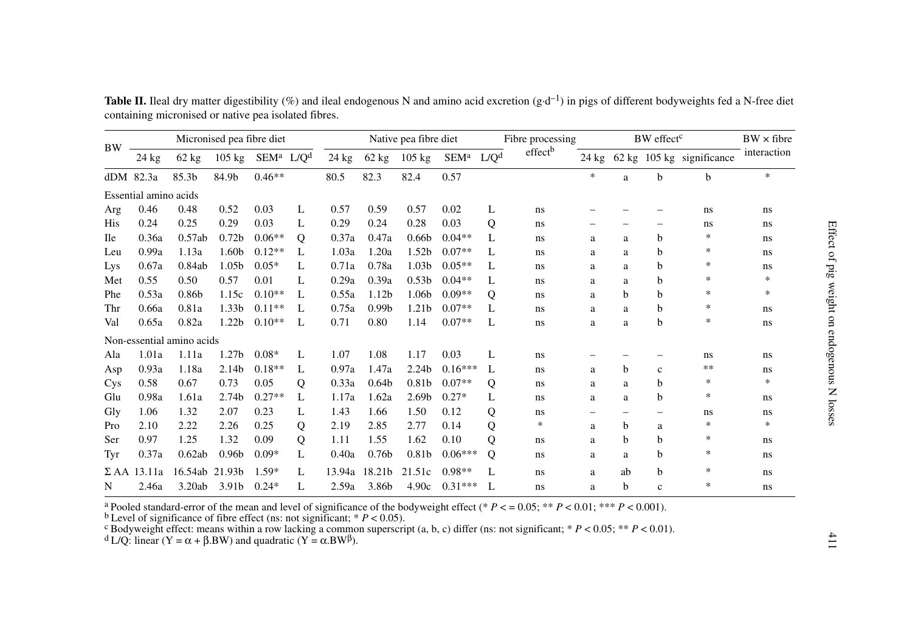|            | Micronised pea fibre diet |                           |                   |          |                  | Native pea fibre diet |                   |                   |                  | Fibre processing |                     |                 | BW effect <sup>c</sup> | $BW \times fibre$ |                           |             |
|------------|---------------------------|---------------------------|-------------------|----------|------------------|-----------------------|-------------------|-------------------|------------------|------------------|---------------------|-----------------|------------------------|-------------------|---------------------------|-------------|
| <b>BW</b>  | 24 kg                     | 62 kg                     | $105 \text{ kg}$  | SEMª     | L/Q <sup>d</sup> | $24$ kg               | 62 kg             | $105 \text{ kg}$  | SEM <sup>a</sup> | L/O <sup>d</sup> | effect <sup>b</sup> | $24 \text{ kg}$ |                        |                   | 62 kg 105 kg significance | interaction |
|            | $dDM$ 82.3a               | 85.3b                     | 84.9b             | $0.46**$ |                  | 80.5                  | 82.3              | 82.4              | 0.57             |                  |                     | *               | a                      | $\mathbf b$       | b                         | $\ast$      |
|            | Essential amino acids     |                           |                   |          |                  |                       |                   |                   |                  |                  |                     |                 |                        |                   |                           |             |
| Arg        | 0.46                      | 0.48                      | 0.52              | 0.03     | L                | 0.57                  | 0.59              | 0.57              | 0.02             | L                | ns                  |                 |                        |                   | ns.                       | ns          |
| <b>His</b> | 0.24                      | 0.25                      | 0.29              | 0.03     | L                | 0.29                  | 0.24              | 0.28              | 0.03             | Q                | ns                  |                 |                        |                   | ns.                       | ns          |
| <b>Ile</b> | 0.36a                     | 0.57ab                    | 0.72 <sub>b</sub> | $0.06**$ | Q                | 0.37a                 | 0.47a             | 0.66 <sub>b</sub> | $0.04**$         | L                | <sub>ns</sub>       | a               | a                      | b                 | ∗                         | ns          |
| Leu        | 0.99a                     | 1.13a                     | 1.60b             | $0.12**$ | L                | 1.03a                 | 1.20a             | 1.52 <sub>b</sub> | $0.07**$         | L                | ns                  | a               | a                      | b                 | ∗                         | ns          |
| Lys        | 0.67a                     | 0.84ab                    | 1.05 <sub>b</sub> | $0.05*$  | L                | 0.71a                 | 0.78a             | 1.03 <sub>b</sub> | $0.05**$         | L                | ns                  | a               | a                      | b                 | *                         | ns          |
| Met        | 0.55                      | 0.50                      | 0.57              | 0.01     | L                | 0.29a                 | 0.39a             | 0.53 <sub>b</sub> | $0.04**$         | L                | ns                  | a               | a                      | b                 | *                         | *           |
| Phe        | 0.53a                     | 0.86 <sub>b</sub>         | 1.15c             | $0.10**$ | L                | 0.55a                 | 1.12 <sub>b</sub> | 1.06b             | $0.09**$         | Q                | ns                  | a               | b                      | h                 | $\ast$                    | $\ast$      |
| Thr        | 0.66a                     | 0.81a                     | 1.33 <sub>b</sub> | $0.11**$ | L                | 0.75a                 | 0.99 <sub>b</sub> | 1.21 <sub>b</sub> | $0.07**$         | L                | ns                  | a               | a                      | b                 | $\ast$                    | ns          |
| Val        | 0.65a                     | 0.82a                     | 1.22 <sub>b</sub> | $0.10**$ | L                | 0.71                  | 0.80              | 1.14              | $0.07**$         | L                | ns                  | a               | a                      | b                 | *                         | ns          |
|            |                           | Non-essential amino acids |                   |          |                  |                       |                   |                   |                  |                  |                     |                 |                        |                   |                           |             |
| Ala        | 1.01a                     | 1.11a                     | 1.27 <sub>b</sub> | $0.08*$  | L                | 1.07                  | 1.08              | 1.17              | 0.03             | L                | ns                  |                 |                        |                   | ns                        | ns          |
| Asp        | 0.93a                     | 1.18a                     | 2.14 <sub>b</sub> | $0.18**$ | L                | 0.97a                 | 1.47a             | 2.24 <sub>b</sub> | $0.16***$        | L                | ns                  | a               | b                      | $\mathbf{c}$      | **                        | ns          |
| Cys        | 0.58                      | 0.67                      | 0.73              | 0.05     | Q                | 0.33a                 | 0.64 <sub>b</sub> | 0.81b             | $0.07**$         | Q                | ns.                 | a               | a                      | b                 | *                         | *           |
| Glu        | 0.98a                     | 1.61a                     | 2.74 <sub>b</sub> | $0.27**$ | L                | 1.17a                 | 1.62a             | 2.69 <sub>b</sub> | $0.27*$          | L                | ns                  | a               | a                      | b                 | *                         | ns          |
| Gly        | 1.06                      | 1.32                      | 2.07              | 0.23     | L                | 1.43                  | 1.66              | 1.50              | 0.12             | Q                | ns.                 | -               | $\qquad \qquad$        |                   | ns.                       | ns.         |
| Pro        | 2.10                      | 2.22                      | 2.26              | 0.25     | Q                | 2.19                  | 2.85              | 2.77              | 0.14             | Q                | *                   | a               | b                      | a                 | *                         | ∗           |
| Ser        | 0.97                      | 1.25                      | 1.32              | 0.09     | Q                | 1.11                  | 1.55              | 1.62              | 0.10             | Q                | ns                  | a               | b                      | b                 | *                         | ns          |
| Tyr        | 0.37a                     | 0.62ab                    | 0.96 <sub>b</sub> | $0.09*$  | L                | 0.40a                 | 0.76 <sub>b</sub> | 0.81 <sub>b</sub> | $0.06***$        | Q                | ns                  | a               | a                      | b                 | *                         | ns          |
|            | $\Sigma$ AA 13.11a        | 16.54ab 21.93b            |                   | $1.59*$  | L                | 13.94a                | 18.21b            | 21.51c            | $0.98**$         | L                | ns                  | a               | ab                     | b                 | *                         | ns          |
| N          | 2.46a                     | 3.20ab                    | 3.91b             | $0.24*$  | L                | 2.59a                 | 3.86b             | 4.90c             | $0.31***$        | L                | ns                  | a               | b                      | $\mathbf{c}$      | *                         | ns          |

**Table II.** Ileal dry matter digestibility (%) and ileal endogenous N and amino acid excretion  $(g \cdot d^{-1})$  in pigs of different bodyweights fed a N-free diet containing micronised or native pea isolated fibres.

<sup>a</sup> Pooled standard-error of the mean and level of significance of the bodyweight effect (\*  $P < = 0.05$ ; \*\*  $P < 0.01$ ; \*\*\*  $P < 0.001$ ).<br><sup>b</sup> Level of significance of fibre effect (ns: not significant; \*  $P < 0.05$ ).<br><sup>c</sup> Body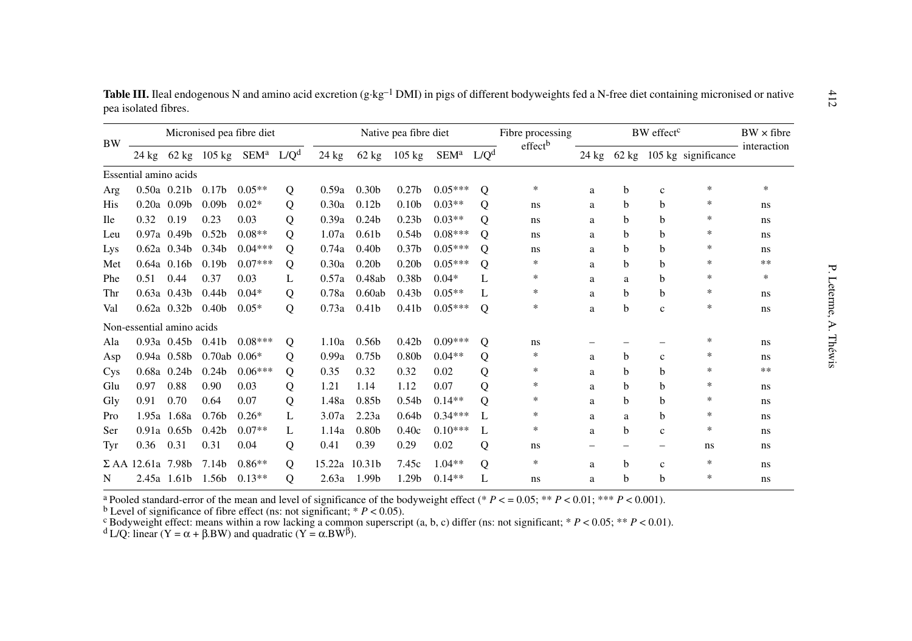| <b>BW</b>  |                           | Micronised pea fibre diet |                   |                               |                  | Native pea fibre diet |                    |                   |                  |                  | Fibre processing    | BW effect <sup>c</sup> |   |              |                           | $BW \times fibre$ |
|------------|---------------------------|---------------------------|-------------------|-------------------------------|------------------|-----------------------|--------------------|-------------------|------------------|------------------|---------------------|------------------------|---|--------------|---------------------------|-------------------|
|            | 24 kg                     |                           |                   | 62 kg 105 kg SEM <sup>a</sup> | L/Q <sup>d</sup> | $24$ kg               | 62 kg              | $105 \text{ kg}$  | SEM <sup>a</sup> | L/O <sup>d</sup> | effect <sup>b</sup> | 24 kg                  |   |              | 62 kg 105 kg significance | interaction       |
|            | Essential amino acids     |                           |                   |                               |                  |                       |                    |                   |                  |                  |                     |                        |   |              |                           |                   |
| Arg        |                           | $0.50a$ $0.21b$           | 0.17 <sub>b</sub> | $0.05**$                      | Q                | 0.59a                 | 0.30 <sub>b</sub>  | 0.27 <sub>b</sub> | $0.05***$        | Q                | *                   | a                      | b | $\mathbf c$  | *                         | *                 |
| His        |                           | $0.20a$ 0.09b             | 0.09 <sub>b</sub> | $0.02*$                       | Q                | 0.30a                 | 0.12 <sub>b</sub>  | 0.10 <sub>b</sub> | $0.03**$         | Q                | ns                  | a                      | b | b            | ∗                         | ns                |
| <b>Ile</b> | 0.32                      | 0.19                      | 0.23              | 0.03                          | Q                | 0.39a                 | 0.24 <sub>b</sub>  | 0.23 <sub>b</sub> | $0.03**$         | Q                | ns                  | a                      | b | b            | ∗                         | ns                |
| Leu        |                           | $0.97a$ 0.49b             | 0.52 <sub>b</sub> | $0.08**$                      | Q                | 1.07a                 | 0.61 <sub>b</sub>  | 0.54 <sub>b</sub> | $0.08***$        | Q                | ns                  | a                      | b | b            | *                         | ns                |
| Lys        |                           | $0.62a$ 0.34b             | 0.34 <sub>b</sub> | $0.04***$                     | Q                | 0.74a                 | 0.40 <sub>b</sub>  | 0.37 <sub>b</sub> | $0.05***$        | $\Omega$         | ns                  | a                      | b | b            | ∗                         | ns                |
| Met        |                           | $0.64a$ 0.16b             | 0.19 <sub>b</sub> | $0.07***$                     | Q                | 0.30a                 | 0.20 <sub>b</sub>  | 0.20 <sub>b</sub> | $0.05***$        | Q                | *                   | a                      | b | h            | *                         | **                |
| Phe        | 0.51                      | 0.44                      | 0.37              | 0.03                          | L                | 0.57a                 | 0.48ab             | 0.38 <sub>b</sub> | $0.04*$          | L                | ∗                   | a                      | a | b            | *                         | *                 |
| Thr        |                           | $0.63a$ $0.43b$           | 0.44 <sub>b</sub> | $0.04*$                       | Q                | 0.78a                 | 0.60ab             | 0.43 <sub>b</sub> | $0.05**$         | L                | *                   | a                      | b | b            | *                         | ns                |
| Val        |                           | $0.62a$ 0.32b             | 0.40 <sub>b</sub> | $0.05*$                       | Q                | 0.73a                 | 0.41 <sub>b</sub>  | 0.41 <sub>b</sub> | $0.05***$        | $\mathbf{O}$     | ∗                   | a                      | b | $\mathbf{c}$ | *                         | ns                |
|            | Non-essential amino acids |                           |                   |                               |                  |                       |                    |                   |                  |                  |                     |                        |   |              |                           |                   |
| Ala        |                           | $0.93a$ $0.45b$           | 0.41 <sub>b</sub> | $0.08***$                     | Q                | 1.10a                 | 0.56 <sub>b</sub>  | 0.42 <sub>b</sub> | $0.09***$        | Q                | ns                  |                        |   |              | *                         | ns                |
| Asp        |                           | 0.94a 0.58b               | 0.70ab            | $0.06*$                       | Q                | 0.99a                 | 0.75 <sub>b</sub>  | 0.80 <sub>b</sub> | $0.04**$         | Q                | *                   | a                      | b | $\mathbf{c}$ | *                         | ns                |
| Cys        |                           | $0.68a$ 0.24b             | 0.24 <sub>b</sub> | $0.06***$                     | Q                | 0.35                  | 0.32               | 0.32              | 0.02             | Q                | *                   | a                      | b | b            | *                         | **                |
| Glu        | 0.97                      | 0.88                      | 0.90              | 0.03                          | Q                | 1.21                  | 1.14               | 1.12              | 0.07             | Q                | *                   | a                      | b | b            | ∗                         | ns                |
| Gly        | 0.91                      | 0.70                      | 0.64              | 0.07                          | Q                | 1.48a                 | 0.85 <sub>b</sub>  | 0.54 <sub>b</sub> | $0.14**$         | Q                | ∗                   | a                      | b | b            | *                         | ns                |
| Pro        |                           | 1.95a 1.68a               | 0.76 <sub>b</sub> | $0.26*$                       | L                | 3.07a                 | 2.23a              | 0.64 <sub>b</sub> | $0.34***$        | L                | *                   | a                      | a | b            | *                         | ns                |
| Ser        | 0.91a                     | 0.65 <sub>b</sub>         | 0.42 <sub>b</sub> | $0.07**$                      | L                | 1.14a                 | 0.80 <sub>b</sub>  | 0.40c             | $0.10***$        | L                | *                   | a                      | b | $\mathbf{c}$ | *                         | ns                |
| Tyr        | 0.36                      | 0.31                      | 0.31              | 0.04                          | Q                | 0.41                  | 0.39               | 0.29              | 0.02             | Q                | ns                  |                        |   | -            | ns                        | ns                |
|            | $\Sigma$ AA 12.61a 7.98b  |                           | 7.14 <sub>b</sub> | $0.86**$                      | Q                | 15.22a                | 10.31 <sub>b</sub> | 7.45c             | $1.04**$         | $\mathbf Q$      | *                   | a                      | b | $\mathbf{c}$ | *                         | ns                |
| N          |                           | 2.45a 1.61b               | 1.56b             | $0.13**$                      | O                | 2.63a                 | 1.99b              | 1.29b             | $0.14**$         | L                | ns                  | a                      | b | b            | *                         | ns                |

Table III. Ileal endogenous N and amino acid excretion (g·kg<sup>-1</sup> DMI) in pigs of different bodyweights fed a N-free diet containing micronised or native pea isolated fibres.

<sup>a</sup> Pooled standard-error of the mean and level of significance of the bodyweight effect (\*  $P < = 0.05$ ; \*\*  $P < 0.01$ ; \*\*\*  $P < 0.001$ ).<br>
<sup>b</sup> Level of significance of fibre effect (ns: not significant; \*  $P < 0.05$ ).<br>
<sup>c</sup> Bo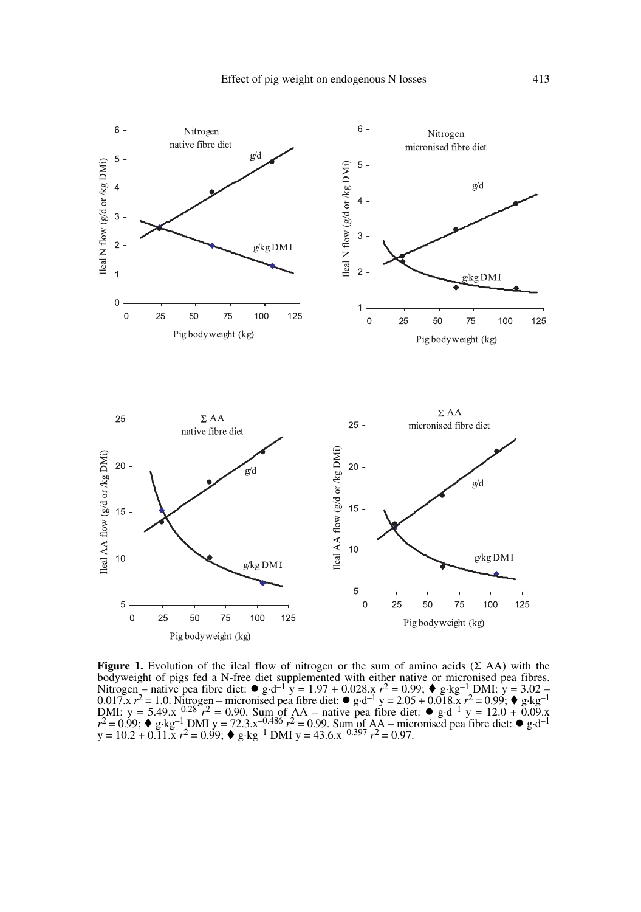

**Figure 1.** Evolution of the ileal flow of nitrogen or the sum of amino acids  $(\Sigma$  AA) with the bodyweight of pigs fed a N-free diet supplemented with either native or micronised pea fibres.<br>Nitrogen – native pea fibre diet:  $\bullet g \cdot d^{-1} y = 1.97 + 0.028 \cdot x \cdot r^2 = 0.99$ ;  $\bullet g \cdot kg^{-1}$  DMI:  $y = 3.02 -$ 0.017.x  $r^2$  = 1.0. Nitrogen – micronised pea fibre diet: ● g·d<sup>-1</sup> y = 2.05 + 0.018.x  $r^2$  = 0.99; ◆ g·kg<sup>-1</sup> DMI: y = 5.49.x<sup>-0.28</sup>  $r^2$  = 0.90. Sum of AA – native pea fibre diet: ● g·d<sup>-1</sup> y = 12.0 + 0.09.x  $r^2$  = 0.99; ♦ g·kg<sup>-1</sup> DMI y = 72.3.x<sup>-0.486</sup>  $r^2$  = 0.99. Sum <u>of</u> AA – micronised pea fibre diet: ● g·d<sup>-1</sup>  $y = 10.2 + 0.11 \cdot x$   $r^2 = 0.99$ ;  $\blacklozenge$   $g \cdot kg^{-1}$  DMI  $y = 43.6 \cdot x^{-0.397}$   $r^2 = 0.97$ .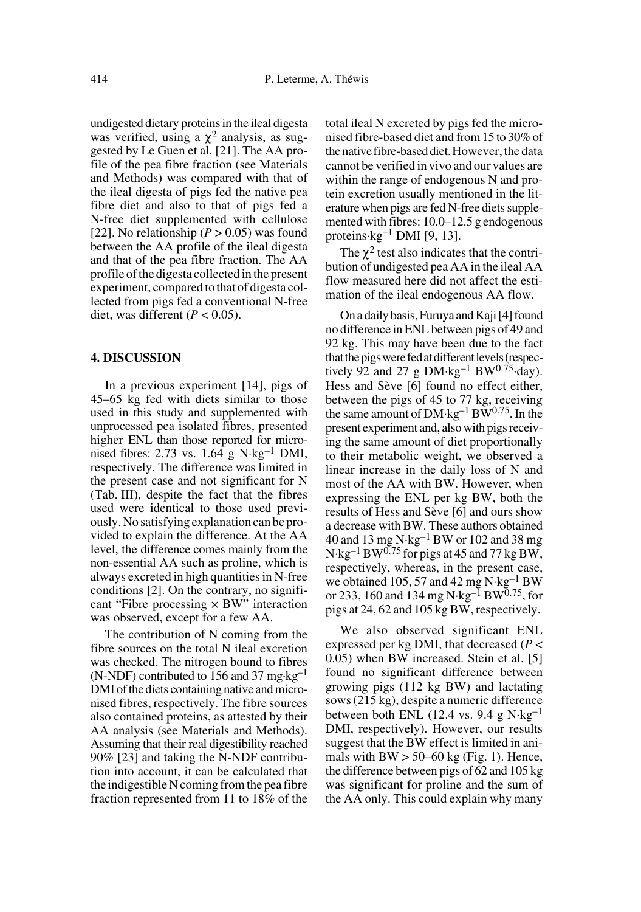undigested dietary proteins in the ileal digesta was verified, using a  $\chi^2$  analysis, as suggested by Le Guen et al. [21]. The AA profile of the pea fibre fraction (see Materials and Methods) was compared with that of the ileal digesta of pigs fed the native pea fibre diet and also to that of pigs fed a N-free diet supplemented with cellulose [22]. No relationship  $(P > 0.05)$  was found between the AA profile of the ileal digesta and that of the pea fibre fraction. The AA profile of the digesta collected in the present experiment, compared to that of digesta collected from pigs fed a conventional N-free diet, was different  $(P < 0.05)$ .

# **4. DISCUSSION**

In a previous experiment [14], pigs of 45–65 kg fed with diets similar to those used in this study and supplemented with unprocessed pea isolated fibres, presented higher ENL than those reported for micronised fibres: 2.73 vs.  $1.64 \text{ g N·kg}^{-1}$  DMI, respectively. The difference was limited in the present case and not significant for N (Tab. III), despite the fact that the fibres used were identical to those used previously. No satisfying explanation can be provided to explain the difference. At the AA level, the difference comes mainly from the non-essential AA such as proline, which is always excreted in high quantities in N-free conditions [2]. On the contrary, no significant "Fibre processing  $\times$  BW" interaction was observed, except for a few AA.

The contribution of N coming from the fibre sources on the total N ileal excretion was checked. The nitrogen bound to fibres (N-NDF) contributed to 156 and 37 mg·kg<sup>-1</sup> DMI of the diets containing native and micronised fibres, respectively. The fibre sources also contained proteins, as attested by their AA analysis (see Materials and Methods). Assuming that their real digestibility reached 90% [23] and taking the N-NDF contribution into account, it can be calculated that the indigestible N coming from the pea fibre fraction represented from 11 to 18% of the

total ileal N excreted by pigs fed the micronised fibre-based diet and from 15 to 30% of the native fibre-based diet. However, the data cannot be verified in vivo and our values are within the range of endogenous N and protein excretion usually mentioned in the literature when pigs are fed N-free diets supplemented with fibres: 10.0–12.5 g endogenous proteins $\cdot$ kg<sup>-1</sup> DMI [9, 13].

The  $\chi^2$  test also indicates that the contribution of undigested pea AA in the ileal AA flow measured here did not affect the estimation of the ileal endogenous AA flow.

On a daily basis, Furuya and Kaji [4] found no difference in ENL between pigs of 49 and 92 kg. This may have been due to the fact that the pigs were fed at different levels (respectively 92 and 27 g  $DM \cdot kg^{-1} BW^{0.75} \cdot day$ . Hess and Sève [6] found no effect either, between the pigs of 45 to 77 kg, receiving the same amount of  $DM \cdot kg^{-1}BW^{0.75}$ . In the present experiment and, also with pigs receiving the same amount of diet proportionally to their metabolic weight, we observed a linear increase in the daily loss of N and most of the AA with BW. However, when expressing the ENL per kg BW, both the results of Hess and Sève [6] and ours show a decrease with BW. These authors obtained 40 and 13 mg N·kg–1 BW or 102 and 38 mg  $N \cdot kg^{-1} BW^{0.75}$  for pigs at 45 and 77 kg BW, respectively, whereas, in the present case, we obtained 105, 57 and 42 mg  $N \cdot kg^{-1}BW$ or 233, 160 and 134 mg N·kg<sup>-1</sup> BW<sup>0.75</sup>, for pigs at 24, 62 and 105 kg BW, respectively.

We also observed significant ENL expressed per kg DMI, that decreased (*P* < 0.05) when BW increased. Stein et al. [5] found no significant difference between growing pigs (112 kg BW) and lactating sows (215 kg), despite a numeric difference between both ENL (12.4 vs. 9.4 g  $N \cdot kg^{-1}$ DMI, respectively). However, our results suggest that the BW effect is limited in animals with  $BW > 50-60$  kg (Fig. 1). Hence, the difference between pigs of 62 and 105 kg was significant for proline and the sum of the AA only. This could explain why many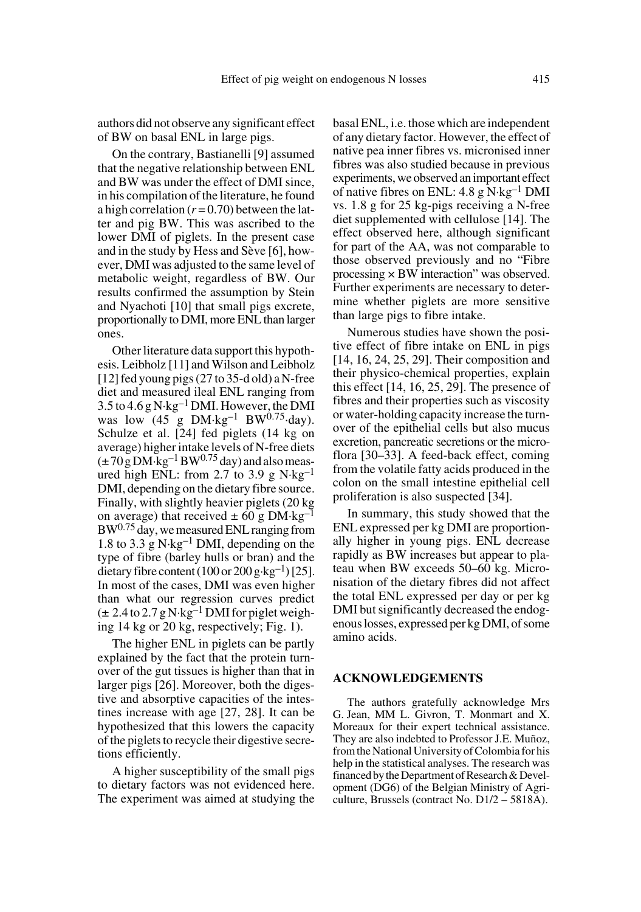authors did not observe any significant effect of BW on basal ENL in large pigs.

On the contrary, Bastianelli [9] assumed that the negative relationship between ENL and BW was under the effect of DMI since, in his compilation of the literature, he found a high correlation  $(r=0.70)$  between the latter and pig BW. This was ascribed to the lower DMI of piglets. In the present case and in the study by Hess and Sève [6], however, DMI was adjusted to the same level of metabolic weight, regardless of BW. Our results confirmed the assumption by Stein and Nyachoti [10] that small pigs excrete, proportionally to DMI, more ENL than larger ones.

Other literature data support this hypothesis. Leibholz [11] and Wilson and Leibholz [12] fed young pigs (27 to 35-d old) a N-free diet and measured ileal ENL ranging from  $3.5$  to  $4.6$  g N·kg<sup>-1</sup> DMI. However, the DMI was  $low (45 \text{ g} DM·kg^{-1} BW^{0.75}·day)$ . Schulze et al. [24] fed piglets (14 kg on average) higher intake levels of N-free diets  $(\pm 70 \,\text{g} \,\text{DM} \cdot \text{kg}^{-1} \,\text{BW}^{0.75} \,\text{day})$  and also measured high ENL: from 2.7 to 3.9 g  $N \cdot kg^{-1}$ DMI, depending on the dietary fibre source. Finally, with slightly heavier piglets (20 kg on average) that received  $\pm 60$  g DM·kg<sup>-1</sup> BW0.75 day, we measured ENL ranging from 1.8 to 3.3 g  $N \cdot kg^{-1}$  DMI, depending on the type of fibre (barley hulls or bran) and the dietary fibre content (100 or 200 g·kg<sup>-1</sup>) [25]. In most of the cases, DMI was even higher than what our regression curves predict  $(\pm 2.4$  to 2.7 g N·kg<sup>-1</sup> DMI for piglet weighing 14 kg or 20 kg, respectively; Fig. 1).

The higher ENL in piglets can be partly explained by the fact that the protein turnover of the gut tissues is higher than that in larger pigs [26]. Moreover, both the digestive and absorptive capacities of the intestines increase with age [27, 28]. It can be hypothesized that this lowers the capacity of the piglets to recycle their digestive secretions efficiently.

A higher susceptibility of the small pigs to dietary factors was not evidenced here. The experiment was aimed at studying the basal ENL, i.e. those which are independent of any dietary factor. However, the effect of native pea inner fibres vs. micronised inner fibres was also studied because in previous experiments, we observed an important effect of native fibres on ENL:  $4.8 \text{ g N·kg}^{-1}$  DMI vs. 1.8 g for 25 kg-pigs receiving a N-free diet supplemented with cellulose [14]. The effect observed here, although significant for part of the AA, was not comparable to those observed previously and no "Fibre processing  $\times$  BW interaction" was observed. Further experiments are necessary to determine whether piglets are more sensitive than large pigs to fibre intake.

Numerous studies have shown the positive effect of fibre intake on ENL in pigs [14, 16, 24, 25, 29]. Their composition and their physico-chemical properties, explain this effect  $[14, 16, 25, 29]$ . The presence of fibres and their properties such as viscosity or water-holding capacity increase the turnover of the epithelial cells but also mucus excretion, pancreatic secretions or the microflora [30–33]. A feed-back effect, coming from the volatile fatty acids produced in the colon on the small intestine epithelial cell proliferation is also suspected [34].

In summary, this study showed that the ENL expressed per kg DMI are proportionally higher in young pigs. ENL decrease rapidly as BW increases but appear to plateau when BW exceeds 50–60 kg. Micronisation of the dietary fibres did not affect the total ENL expressed per day or per kg DMI but significantly decreased the endogenous losses, expressed per kg DMI, of some amino acids.

## **ACKNOWLEDGEMENTS**

The authors gratefully acknowledge Mrs G. Jean, MM L. Givron, T. Monmart and X. Moreaux for their expert technical assistance. They are also indebted to Professor J.E. Muñoz, from the National University of Colombia for his help in the statistical analyses. The research was financed by the Department of Research & Development (DG6) of the Belgian Ministry of Agriculture, Brussels (contract No. D1/2 – 5818A).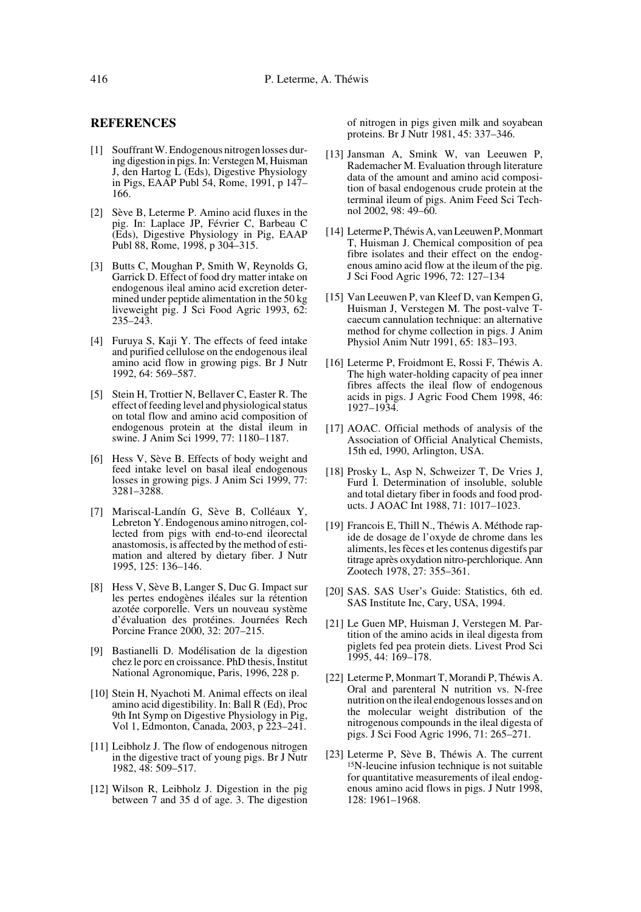#### **REFERENCES**

- [1] Souffrant W. Endogenous nitrogen losses during digestion in pigs. In: Verstegen M, Huisman J, den Hartog L (Eds), Digestive Physiology in Pigs, EAAP Publ 54, Rome, 1991, p 147– 166.
- [2] Sève B, Leterme P. Amino acid fluxes in the pig. In: Laplace JP, Février C, Barbeau C (Eds), Digestive Physiology in Pig, EAAP Publ 88, Rome, 1998, p 304–315.
- [3] Butts C, Moughan P, Smith W, Reynolds G, Garrick D. Effect of food dry matter intake on endogenous ileal amino acid excretion determined under peptide alimentation in the 50 kg liveweight pig. J Sci Food Agric 1993, 62: 235–243.
- [4] Furuya S, Kaji Y. The effects of feed intake and purified cellulose on the endogenous ileal amino acid flow in growing pigs. Br J Nutr 1992, 64: 569–587.
- [5] Stein H, Trottier N, Bellaver C, Easter R. The effect of feeding level and physiological status on total flow and amino acid composition of endogenous protein at the distal ileum in swine. J Anim Sci 1999, 77: 1180–1187.
- [6] Hess V, Sève B. Effects of body weight and feed intake level on basal ileal endogenous losses in growing pigs. J Anim Sci 1999, 77: 3281–3288.
- [7] Mariscal-Landín G, Sève B, Colléaux Y, Lebreton Y. Endogenous amino nitrogen, collected from pigs with end-to-end ileorectal anastomosis, is affected by the method of estimation and altered by dietary fiber. J Nutr 1995, 125: 136–146.
- [8] Hess V, Sève B, Langer S, Duc G. Impact sur les pertes endogènes iléales sur la rétention azotée corporelle. Vers un nouveau système d'évaluation des protéines. Journées Rech Porcine France 2000, 32: 207–215.
- [9] Bastianelli D. Modélisation de la digestion chez le porc en croissance. PhD thesis, Institut National Agronomique, Paris, 1996, 228 p.
- [10] Stein H, Nyachoti M. Animal effects on ileal amino acid digestibility. In: Ball R (Ed), Proc 9th Int Symp on Digestive Physiology in Pig, Vol 1, Edmonton, Canada, 2003, p 223–241.
- [11] Leibholz J. The flow of endogenous nitrogen in the digestive tract of young pigs. Br J Nutr 1982, 48: 509–517.
- [12] Wilson R, Leibholz J. Digestion in the pig between 7 and 35 d of age. 3. The digestion

of nitrogen in pigs given milk and soyabean proteins. Br J Nutr 1981, 45: 337–346.

- [13] Jansman A, Smink W, van Leeuwen P, Rademacher M. Evaluation through literature data of the amount and amino acid composition of basal endogenous crude protein at the terminal ileum of pigs. Anim Feed Sci Technol 2002, 98: 49–60.
- [14] Leterme P, Théwis A, van Leeuwen P, Monmart T, Huisman J. Chemical composition of pea fibre isolates and their effect on the endogenous amino acid flow at the ileum of the pig. J Sci Food Agric 1996, 72: 127–134
- [15] Van Leeuwen P, van Kleef D, van Kempen G, Huisman J, Verstegen M. The post-valve Tcaecum cannulation technique: an alternative method for chyme collection in pigs. J Anim Physiol Anim Nutr 1991, 65: 183–193.
- [16] Leterme P, Froidmont E, Rossi F, Théwis A. The high water-holding capacity of pea inner fibres affects the ileal flow of endogenous acids in pigs. J Agric Food Chem 1998, 46: 1927–1934.
- [17] AOAC. Official methods of analysis of the Association of Official Analytical Chemists, 15th ed, 1990, Arlington, USA.
- [18] Prosky L, Asp N, Schweizer T, De Vries J, Furd I. Determination of insoluble, soluble and total dietary fiber in foods and food products. J AOAC Int 1988, 71: 1017–1023.
- [19] Francois E, Thill N., Théwis A. Méthode rapide de dosage de l'oxyde de chrome dans les aliments, les fèces et les contenus digestifs par titrage après oxydation nitro-perchlorique. Ann Zootech 1978, 27: 355–361.
- [20] SAS. SAS User's Guide: Statistics, 6th ed. SAS Institute Inc, Cary, USA, 1994.
- [21] Le Guen MP, Huisman J, Verstegen M. Partition of the amino acids in ileal digesta from piglets fed pea protein diets. Livest Prod Sci 1995, 44: 169–178.
- [22] Leterme P, Monmart T, Morandi P, Théwis A. Oral and parenteral N nutrition vs. N-free nutrition on the ileal endogenous losses and on the molecular weight distribution of the nitrogenous compounds in the ileal digesta of pigs. J Sci Food Agric 1996, 71: 265–271.
- [23] Leterme P, Sève B, Théwis A. The current 15N-leucine infusion technique is not suitable for quantitative measurements of ileal endogenous amino acid flows in pigs. J Nutr 1998, 128: 1961–1968.